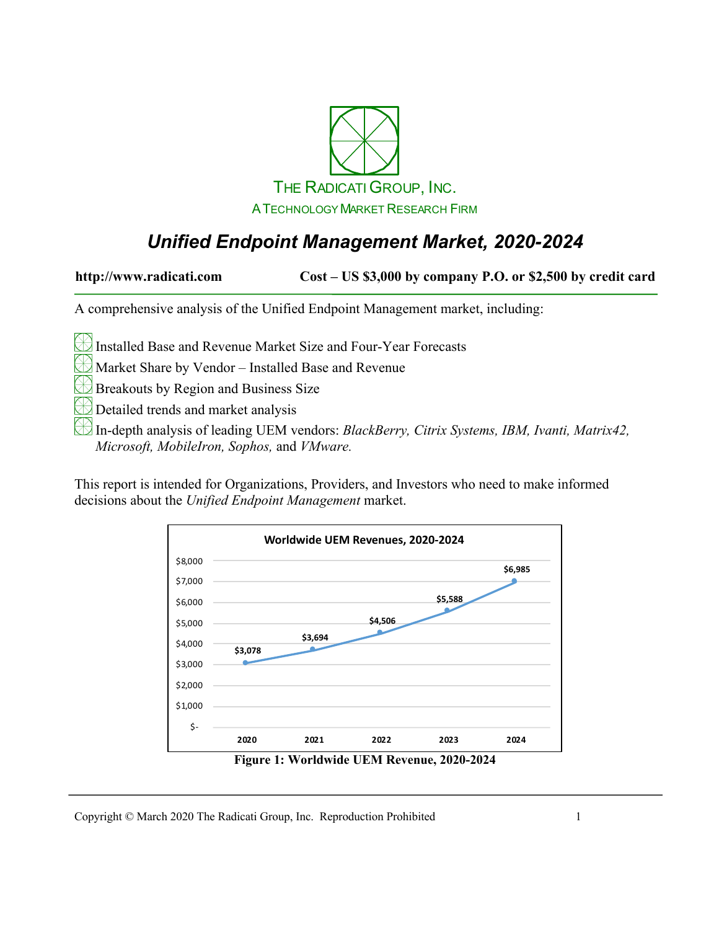

## *Unified Endpoint Management Market, 2020-2024*

**http://www.radicati.com Cost – US \$3,000 by company P.O. or \$2,500 by credit card**

A comprehensive analysis of the Unified Endpoint Management market, including:

Installed Base and Revenue Market Size and Four-Year Forecasts

Market Share by Vendor – Installed Base and Revenue

Breakouts by Region and Business Size

Detailed trends and market analysis

In-depth analysis of leading UEM vendors: *BlackBerry, Citrix Systems, IBM, Ivanti, Matrix42, Microsoft, MobileIron, Sophos,* and *VMware.*

This report is intended for Organizations, Providers, and Investors who need to make informed decisions about the *Unified Endpoint Management* market.



**Figure 1: Worldwide UEM Revenue, 2020-2024**

Copyright © March 2020 The Radicati Group, Inc. Reproduction Prohibited 1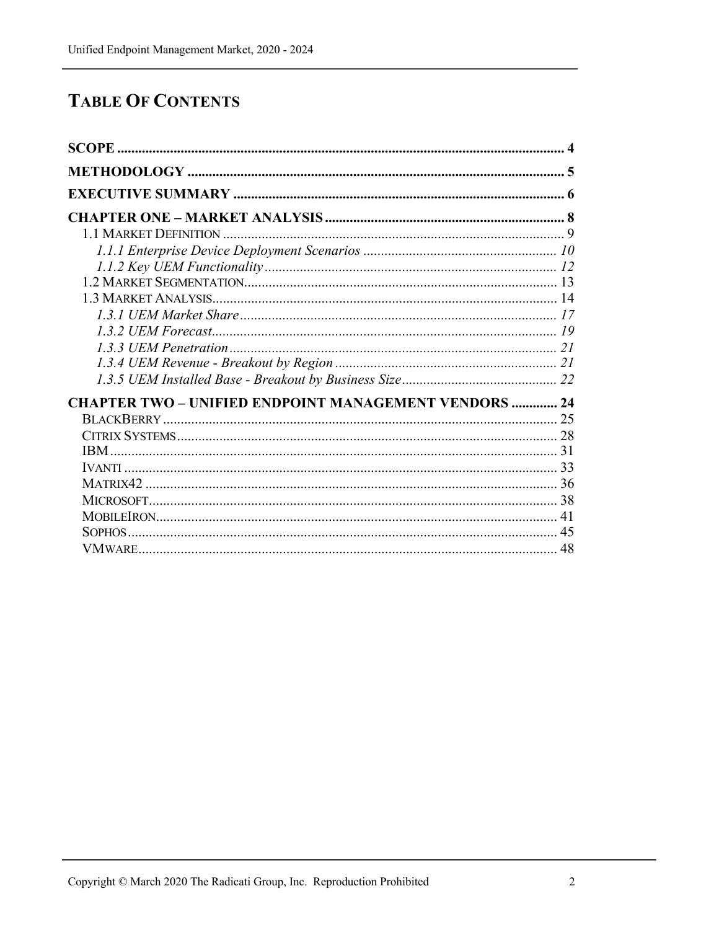# **TABLE OF CONTENTS**

| <b>CHAPTER TWO - UNIFIED ENDPOINT MANAGEMENT VENDORS  24</b> |    |
|--------------------------------------------------------------|----|
|                                                              |    |
|                                                              |    |
|                                                              |    |
|                                                              |    |
|                                                              |    |
|                                                              |    |
|                                                              | 41 |
|                                                              | 45 |
|                                                              | 48 |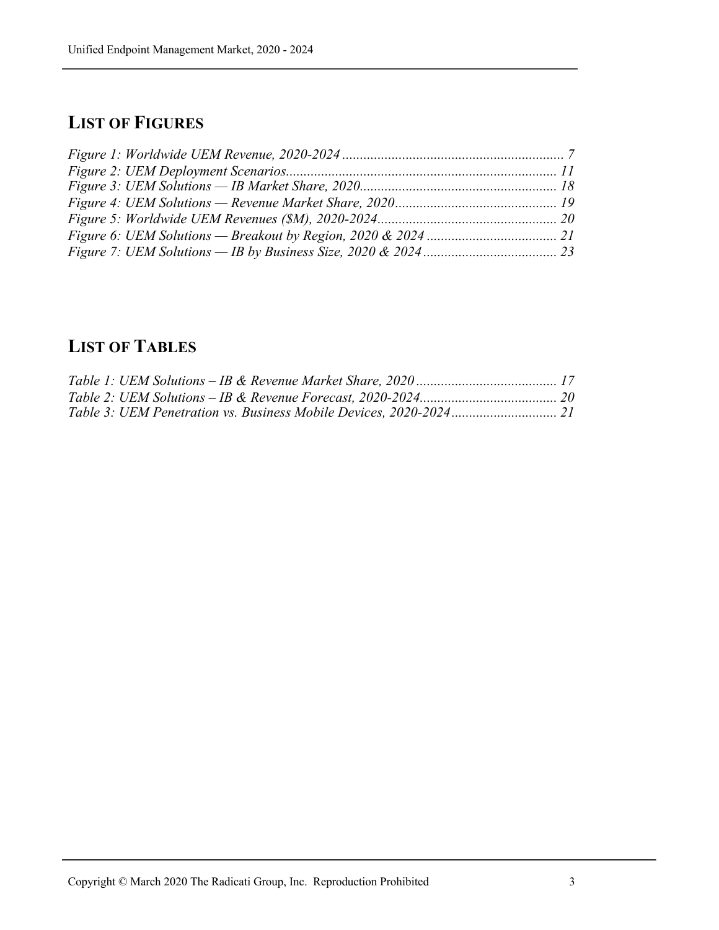#### **LIST OF FIGURES**

### **LIST OF TABLES**